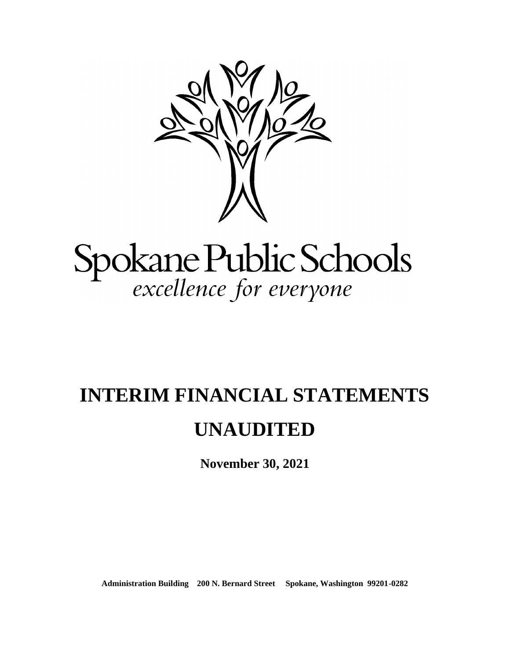

# Spokane Public Schools<br>excellence for everyone

# **INTERIM FINANCIAL STATEMENTS**

# **UNAUDITED**

**November 30, 2021**

**Administration Building 200 N. Bernard Street Spokane, Washington 99201-0282**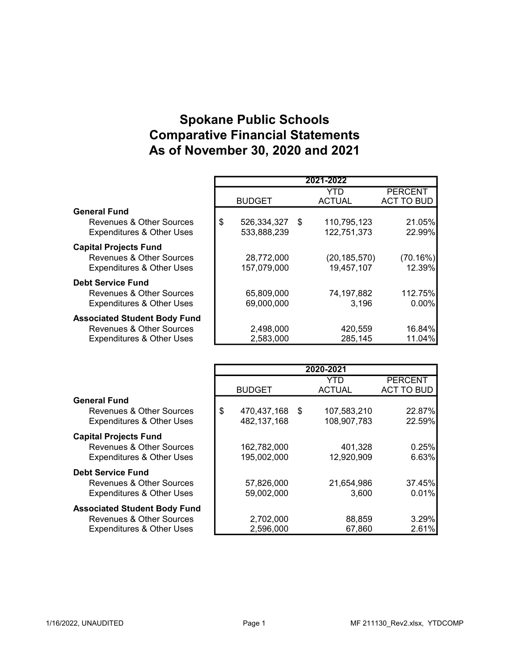# Spokane Public Schools Comparative Financial Statements As of November 30, 2020 and 2021

|                                      |                   |      | 2021-2022      |                   |
|--------------------------------------|-------------------|------|----------------|-------------------|
|                                      |                   |      | YTD            | <b>PERCENT</b>    |
|                                      | <b>BUDGET</b>     |      | <b>ACTUAL</b>  | <b>ACT TO BUD</b> |
| <b>General Fund</b>                  |                   |      |                |                   |
| Revenues & Other Sources             | \$<br>526,334,327 | - \$ | 110,795,123    | 21.05%            |
| <b>Expenditures &amp; Other Uses</b> | 533,888,239       |      | 122,751,373    | 22.99%            |
| <b>Capital Projects Fund</b>         |                   |      |                |                   |
| Revenues & Other Sources             | 28,772,000        |      | (20, 185, 570) | (70.16%)          |
| <b>Expenditures &amp; Other Uses</b> | 157,079,000       |      | 19,457,107     | 12.39%            |
| <b>Debt Service Fund</b>             |                   |      |                |                   |
| Revenues & Other Sources             | 65,809,000        |      | 74,197,882     | 112.75%           |
| <b>Expenditures &amp; Other Uses</b> | 69,000,000        |      | 3,196          | $0.00\%$          |
| <b>Associated Student Body Fund</b>  |                   |      |                |                   |
| Revenues & Other Sources             | 2,498,000         |      | 420,559        | 16.84%            |
| <b>Expenditures &amp; Other Uses</b> | 2,583,000         |      | 285,145        | 11.04%            |

|                                      |                      | 2020-2021     |                   |
|--------------------------------------|----------------------|---------------|-------------------|
|                                      |                      | YTD           | <b>PERCENT</b>    |
|                                      | <b>BUDGET</b>        | <b>ACTUAL</b> | <b>ACT TO BUD</b> |
| <b>General Fund</b>                  |                      |               |                   |
| Revenues & Other Sources             | \$<br>470,437,168 \$ | 107,583,210   | 22.87%            |
| <b>Expenditures &amp; Other Uses</b> | 482, 137, 168        | 108,907,783   | 22.59%            |
| <b>Capital Projects Fund</b>         |                      |               |                   |
| Revenues & Other Sources             | 162,782,000          | 401,328       | 0.25%             |
| <b>Expenditures &amp; Other Uses</b> | 195,002,000          | 12,920,909    | 6.63%             |
| <b>Debt Service Fund</b>             |                      |               |                   |
| Revenues & Other Sources             | 57,826,000           | 21,654,986    | 37.45%            |
| <b>Expenditures &amp; Other Uses</b> | 59,002,000           | 3,600         | 0.01%             |
| <b>Associated Student Body Fund</b>  |                      |               |                   |
| Revenues & Other Sources             | 2,702,000            | 88,859        | 3.29%             |
| <b>Expenditures &amp; Other Uses</b> | 2,596,000            | 67,860        | 2.61%             |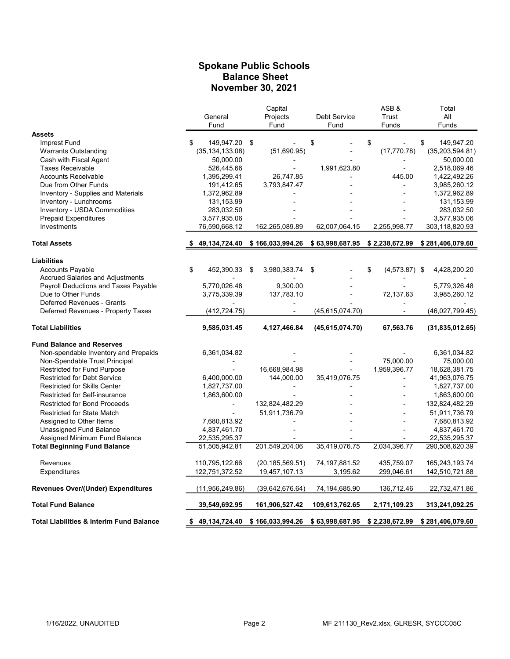#### Spokane Public Schools Balance Sheet November 30, 2021

|                                                          |                                | Capital                          |                   | ASB&                  | Total                           |
|----------------------------------------------------------|--------------------------------|----------------------------------|-------------------|-----------------------|---------------------------------|
|                                                          | General                        | Projects                         | Debt Service      | Trust                 | All                             |
|                                                          | Fund                           | Fund                             | Fund              | Funds                 | Funds                           |
| <b>Assets</b>                                            |                                |                                  |                   |                       |                                 |
| Imprest Fund                                             | 149,947.20<br>\$.              | \$                               | \$                | \$                    | \$<br>149,947.20                |
| <b>Warrants Outstanding</b>                              | (35, 134, 133.08)              | (51,690.95)                      |                   | (17, 770.78)          | (35, 203, 594.81)               |
| Cash with Fiscal Agent                                   | 50,000.00                      |                                  |                   |                       | 50,000.00                       |
| <b>Taxes Receivable</b>                                  | 526,445.66                     |                                  | 1,991,623.80      | L,                    | 2,518,069.46                    |
| <b>Accounts Receivable</b>                               | 1,395,299.41                   | 26,747.85                        |                   | 445.00                | 1,422,492.26                    |
| Due from Other Funds                                     | 191,412.65                     | 3,793,847.47                     |                   |                       | 3,985,260.12                    |
| Inventory - Supplies and Materials                       | 1,372,962.89                   |                                  |                   |                       | 1,372,962.89                    |
| Inventory - Lunchrooms                                   | 131,153.99                     |                                  |                   |                       | 131,153.99                      |
| Inventory - USDA Commodities                             | 283,032.50                     |                                  |                   |                       | 283,032.50                      |
| <b>Prepaid Expenditures</b>                              | 3,577,935.06                   |                                  |                   |                       | 3,577,935.06                    |
| Investments                                              | 76,590,668.12                  | 162,265,089.89                   | 62,007,064.15     | 2,255,998.77          | 303,118,820.93                  |
| <b>Total Assets</b>                                      | 49,134,724.40                  | \$166,033,994.26 \$63,998,687.95 |                   | \$2,238,672.99        | \$281,406,079.60                |
|                                                          |                                |                                  |                   |                       |                                 |
| <b>Liabilities</b>                                       |                                |                                  |                   |                       |                                 |
| Accounts Payable                                         | \$<br>452,390.33 \$            | 3,980,383.74                     | \$                | \$<br>$(4,573.87)$ \$ | 4,428,200.20                    |
| <b>Accrued Salaries and Adjustments</b>                  |                                |                                  |                   |                       |                                 |
| Payroll Deductions and Taxes Payable                     | 5,770,026.48                   | 9,300.00                         |                   |                       | 5,779,326.48                    |
| Due to Other Funds                                       | 3,775,339.39                   | 137,783.10                       |                   | 72,137.63             | 3,985,260.12                    |
| Deferred Revenues - Grants                               |                                |                                  |                   |                       |                                 |
| Deferred Revenues - Property Taxes                       | (412, 724.75)                  |                                  | (45, 615, 074.70) |                       | (46,027,799.45)                 |
| <b>Total Liabilities</b>                                 | 9,585,031.45                   | 4,127,466.84                     | (45,615,074.70)   | 67,563.76             | (31,835,012.65)                 |
| <b>Fund Balance and Reserves</b>                         |                                |                                  |                   |                       |                                 |
| Non-spendable Inventory and Prepaids                     | 6,361,034.82                   |                                  |                   |                       | 6,361,034.82                    |
| Non-Spendable Trust Principal                            |                                |                                  |                   | 75,000.00             | 75,000.00                       |
| <b>Restricted for Fund Purpose</b>                       |                                | 16,668,984.98                    |                   | 1,959,396.77          | 18,628,381.75                   |
| <b>Restricted for Debt Service</b>                       | 6,400,000.00                   | 144,000.00                       | 35,419,076.75     | L,                    | 41,963,076.75                   |
| <b>Restricted for Skills Center</b>                      | 1,827,737.00                   |                                  |                   |                       | 1,827,737.00                    |
| Restricted for Self-insurance                            | 1,863,600.00                   |                                  |                   |                       | 1,863,600.00                    |
| <b>Restricted for Bond Proceeds</b>                      |                                | 132,824,482.29                   |                   |                       | 132,824,482.29                  |
| <b>Restricted for State Match</b>                        |                                | 51,911,736.79                    |                   |                       | 51,911,736.79                   |
| Assigned to Other Items                                  | 7,680,813.92                   |                                  |                   |                       | 7,680,813.92                    |
|                                                          |                                |                                  |                   |                       |                                 |
| Unassigned Fund Balance<br>Assigned Minimum Fund Balance | 4,837,461.70                   |                                  |                   |                       | 4,837,461.70                    |
| <b>Total Beginning Fund Balance</b>                      | 22,535,295.37<br>51,505,942.81 | 201,549,204.06                   | 35,419,076.75     | 2,034,396.77          | 22,535,295.37<br>290,508,620.39 |
|                                                          |                                |                                  |                   |                       |                                 |
| Revenues                                                 | 110,795,122.66                 | (20, 185, 569.51)                | 74, 197, 881.52   | 435.759.07            | 165,243,193.74                  |
| Expenditures                                             | 122,751,372.52                 | 19,457,107.13                    | 3,195.62          | 299,046.61            | 142,510,721.88                  |
| <b>Revenues Over/(Under) Expenditures</b>                | (11, 956, 249.86)              | (39,642,676.64)                  | 74,194,685.90     | 136,712.46            | 22,732,471.86                   |
| <b>Total Fund Balance</b>                                | 39,549,692.95                  | 161,906,527.42                   | 109,613,762.65    | 2,171,109.23          | 313,241,092.25                  |
| <b>Total Liabilities &amp; Interim Fund Balance</b>      | 49,134,724.40<br>S.            | \$166,033,994.26                 | \$63,998,687.95   | \$2,238,672.99        | \$281,406,079.60                |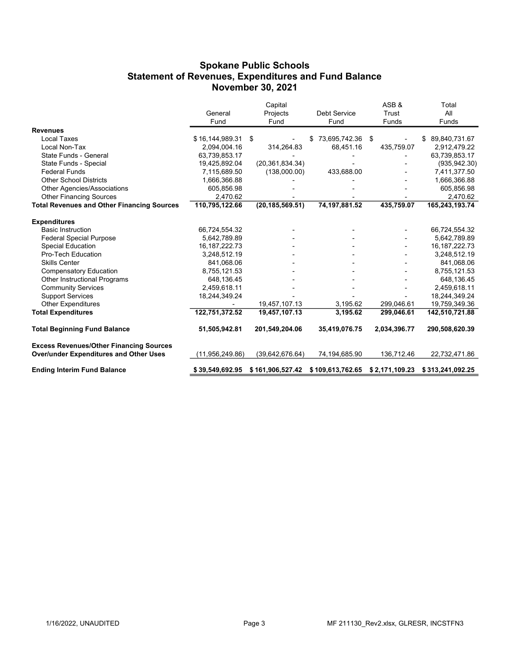#### Spokane Public Schools Statement of Revenues, Expenditures and Fund Balance November 30, 2021

|                                                   |                               | Capital           |                                                  | ASB&         | Total                         |
|---------------------------------------------------|-------------------------------|-------------------|--------------------------------------------------|--------------|-------------------------------|
|                                                   | General                       | Projects          | <b>Debt Service</b>                              | Trust        | All                           |
|                                                   | Fund                          | Fund              | Fund                                             | Funds        | Funds                         |
| <b>Revenues</b>                                   |                               |                   |                                                  |              |                               |
| Local Taxes                                       | \$16,144,989.31               | \$                | 73,695,742.36                                    | \$           | 89,840,731.67<br>\$.          |
| Local Non-Tax                                     | 2,094,004.16                  | 314,264.83        | 68,451.16                                        | 435,759.07   | 2,912,479.22                  |
| State Funds - General                             | 63,739,853.17                 |                   |                                                  |              | 63,739,853.17                 |
| State Funds - Special                             | 19,425,892.04                 | (20, 361, 834.34) |                                                  |              | (935, 942.30)                 |
| <b>Federal Funds</b>                              | 7,115,689.50                  | (138,000.00)      | 433,688.00                                       |              | 7,411,377.50                  |
| <b>Other School Districts</b>                     | 1,666,366.88                  |                   |                                                  |              | 1,666,366.88                  |
| Other Agencies/Associations                       | 605,856.98                    |                   |                                                  |              | 605,856.98                    |
| <b>Other Financing Sources</b>                    | 2,470.62                      |                   |                                                  |              | 2,470.62                      |
| <b>Total Revenues and Other Financing Sources</b> | 110,795,122.66                | (20, 185, 569.51) | 74, 197, 881.52                                  | 435,759.07   | 165,243,193.74                |
| <b>Expenditures</b>                               |                               |                   |                                                  |              |                               |
| <b>Basic Instruction</b>                          |                               |                   |                                                  |              |                               |
| <b>Federal Special Purpose</b>                    | 66,724,554.32<br>5,642,789.89 |                   |                                                  |              | 66,724,554.32<br>5,642,789.89 |
| <b>Special Education</b>                          | 16, 187, 222. 73              |                   |                                                  |              | 16, 187, 222. 73              |
| Pro-Tech Education                                | 3,248,512.19                  |                   |                                                  |              | 3,248,512.19                  |
| <b>Skills Center</b>                              | 841,068.06                    |                   |                                                  |              | 841,068.06                    |
| <b>Compensatory Education</b>                     | 8,755,121.53                  |                   |                                                  |              | 8,755,121.53                  |
| Other Instructional Programs                      | 648,136.45                    |                   |                                                  |              | 648,136.45                    |
| <b>Community Services</b>                         | 2,459,618.11                  |                   |                                                  |              | 2,459,618.11                  |
| <b>Support Services</b>                           | 18,244,349.24                 |                   |                                                  |              | 18,244,349.24                 |
| <b>Other Expenditures</b>                         |                               | 19,457,107.13     | 3,195.62                                         | 299,046.61   | 19,759,349.36                 |
| <b>Total Expenditures</b>                         | 122,751,372.52                | 19,457,107.13     | 3,195.62                                         | 299,046.61   | 142,510,721.88                |
| <b>Total Beginning Fund Balance</b>               | 51,505,942.81                 | 201,549,204.06    | 35,419,076.75                                    | 2,034,396.77 | 290,508,620.39                |
| <b>Excess Revenues/Other Financing Sources</b>    |                               |                   |                                                  |              |                               |
| <b>Over/under Expenditures and Other Uses</b>     | (11,956,249.86)               | (39, 642, 676.64) | 74,194,685.90                                    | 136,712.46   | 22,732,471.86                 |
| <b>Ending Interim Fund Balance</b>                | \$39,549,692.95               |                   | \$161,906,527.42 \$109,613,762.65 \$2,171,109.23 |              | \$313,241,092.25              |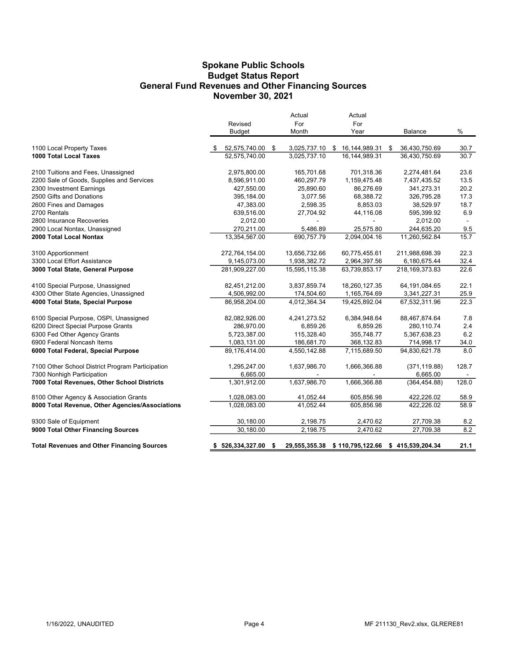#### Spokane Public Schools General Fund Revenues and Other Financing Sources November 30, 2021 Budget Status Report

|                                                   |                      | Actual              | Actual           |                     |       |
|---------------------------------------------------|----------------------|---------------------|------------------|---------------------|-------|
|                                                   | Revised              | For                 | For              |                     |       |
|                                                   | <b>Budget</b>        | Month               | Year             | <b>Balance</b>      | $\%$  |
| 1100 Local Property Taxes                         | 52,575,740.00 \$     | 3,025,737.10 \$     | 16,144,989.31    | \$<br>36,430,750.69 | 30.7  |
| 1000 Total Local Taxes                            | 52,575,740.00        | 3.025.737.10        | 16.144.989.31    | 36,430,750.69       | 30.7  |
| 2100 Tuitions and Fees, Unassigned                | 2,975,800.00         | 165,701.68          | 701,318.36       | 2,274,481.64        | 23.6  |
| 2200 Sale of Goods, Supplies and Services         | 8,596,911.00         | 460,297.79          | 1,159,475.48     | 7,437,435.52        | 13.5  |
| 2300 Investment Earnings                          | 427,550.00           | 25,890.60           | 86,276.69        | 341,273.31          | 20.2  |
| 2500 Gifts and Donations                          | 395,184.00           | 3,077.56            | 68,388.72        | 326,795.28          | 17.3  |
| 2600 Fines and Damages                            | 47,383.00            | 2,598.35            | 8,853.03         | 38,529.97           | 18.7  |
| 2700 Rentals                                      | 639,516.00           | 27,704.92           | 44,116.08        | 595,399.92          | 6.9   |
| 2800 Insurance Recoveries                         | 2,012.00             |                     |                  | 2,012.00            |       |
| 2900 Local Nontax, Unassigned                     | 270,211.00           | 5,486.89            | 25,575.80        | 244,635.20          | 9.5   |
| 2000 Total Local Nontax                           | 13,354,567.00        | 690,757.79          | 2,094,004.16     | 11,260,562.84       | 15.7  |
| 3100 Apportionment                                | 272,764,154.00       | 13,656,732.66       | 60,775,455.61    | 211,988,698.39      | 22.3  |
| 3300 Local Effort Assistance                      | 9,145,073.00         | 1,938,382.72        | 2,964,397.56     | 6,180,675.44        | 32.4  |
| 3000 Total State, General Purpose                 | 281,909,227.00       | 15,595,115.38       | 63,739,853.17    | 218, 169, 373.83    | 22.6  |
| 4100 Special Purpose, Unassigned                  | 82,451,212.00        | 3,837,859.74        | 18,260,127.35    | 64,191,084.65       | 22.1  |
| 4300 Other State Agencies, Unassigned             | 4,506,992.00         | 174,504.60          | 1,165,764.69     | 3,341,227.31        | 25.9  |
| 4000 Total State, Special Purpose                 | 86,958,204.00        | 4,012,364.34        | 19,425,892.04    | 67,532,311.96       | 22.3  |
| 6100 Special Purpose, OSPI, Unassigned            | 82,082,926.00        | 4,241,273.52        | 6,384,948.64     | 88,467,874.64       | 7.8   |
| 6200 Direct Special Purpose Grants                | 286,970.00           | 6,859.26            | 6,859.26         | 280,110.74          | 2.4   |
| 6300 Fed Other Agency Grants                      | 5,723,387.00         | 115,328.40          | 355,748.77       | 5,367,638.23        | 6.2   |
| 6900 Federal Noncash Items                        | 1,083,131.00         | 186,681.70          | 368,132.83       | 714,998.17          | 34.0  |
| 6000 Total Federal, Special Purpose               | 89,176,414.00        | 4,550,142.88        | 7,115,689.50     | 94,830,621.78       | 8.0   |
| 7100 Other School District Program Participation  | 1,295,247.00         | 1,637,986.70        | 1,666,366.88     | (371, 119.88)       | 128.7 |
| 7300 Nonhigh Participation                        | 6,665.00             |                     |                  | 6,665.00            |       |
| 7000 Total Revenues, Other School Districts       | 1,301,912.00         | 1,637,986.70        | 1,666,366.88     | (364, 454.88)       | 128.0 |
| 8100 Other Agency & Association Grants            | 1,028,083.00         | 41,052.44           | 605,856.98       | 422,226.02          | 58.9  |
| 8000 Total Revenue, Other Agencies/Associations   | 1,028,083.00         | 41,052.44           | 605,856.98       | 422,226.02          | 58.9  |
| 9300 Sale of Equipment                            | 30,180.00            | 2,198.75            | 2,470.62         | 27,709.38           | 8.2   |
| 9000 Total Other Financing Sources                | 30,180.00            | 2,198.75            | 2,470.62         | 27,709.38           | 8.2   |
| <b>Total Revenues and Other Financing Sources</b> | \$<br>526,334,327.00 | \$<br>29,555,355.38 | \$110,795,122.66 | \$415,539,204.34    | 21.1  |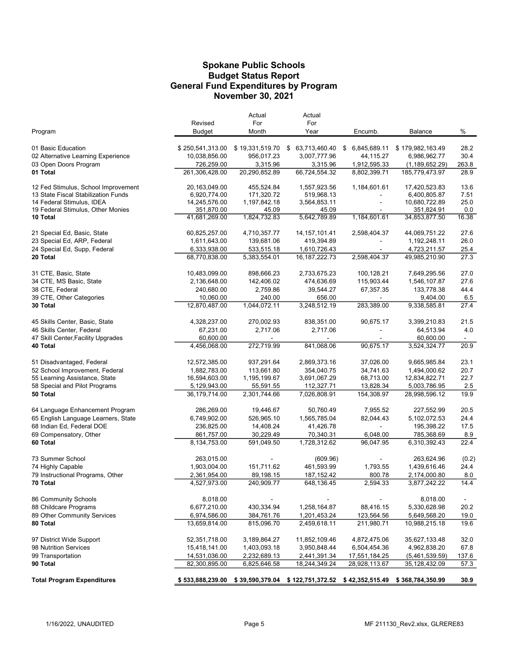#### Budget Status Report General Fund Expenditures by Program Spokane Public Schools November 30, 2021

|                                                                            |                               | Actual                   | Actual                     |                       |                               |             |
|----------------------------------------------------------------------------|-------------------------------|--------------------------|----------------------------|-----------------------|-------------------------------|-------------|
|                                                                            | Revised                       | For                      | For                        |                       |                               |             |
| Program                                                                    | Budget                        | Month                    | Year                       | Encumb.               | Balance                       | %           |
| 01 Basic Education                                                         | \$250,541,313.00              | \$19,331,519.70          | \$ 63,713,460.40           | 6,845,689.11<br>\$    | \$179,982,163.49              | 28.2        |
| 02 Alternative Learning Experience                                         | 10,038,856.00                 | 956,017.23               | 3,007,777.96               | 44,115.27             | 6,986,962.77                  | 30.4        |
| 03 Open Doors Program                                                      | 726,259.00                    | 3,315.96                 | 3,315.96                   | 1,912,595.33          | (1, 189, 652.29)              | 263.8       |
| 01 Total                                                                   | 261,306,428.00                | 20,290,852.89            | 66,724,554.32              | 8,802,399.71          | 185,779,473.97                | 28.9        |
|                                                                            |                               |                          |                            |                       |                               | 13.6        |
| 12 Fed Stimulus, School Improvement<br>13 State Fiscal Stabilization Funds | 20,163,049.00<br>6,920,774.00 | 455,524.84<br>171,320.72 | 1,557,923.56<br>519,968.13 | 1,184,601.61          | 17,420,523.83<br>6,400,805.87 | 7.51        |
| 14 Federal Stimulus, IDEA                                                  | 14,245,576.00                 | 1,197,842.18             | 3,564,853.11               |                       | 10,680,722.89                 | 25.0        |
| 19 Federal Stimulus, Other Monies                                          | 351,870.00                    | 45.09                    | 45.09                      |                       | 351,824.91                    | 0.0         |
| 10 Total                                                                   | 41,681,269.00                 | 1,824,732.83             | 5,642,789.89               | 1,184,601.61          | 34,853,877.50                 | 16.38       |
| 21 Special Ed, Basic, State                                                | 60,825,257.00                 | 4,710,357.77             | 14, 157, 101.41            | 2,598,404.37          | 44,069,751.22                 | 27.6        |
| 23 Special Ed, ARP, Federal                                                | 1,611,643.00                  | 139,681.06               | 419,394.89                 |                       | 1,192,248.11                  | 26.0        |
| 24 Special Ed, Supp, Federal                                               | 6,333,938.00                  | 533,515.18               | 1,610,726.43               |                       | 4,723,211.57                  | 25.4        |
| 20 Total                                                                   | 68,770,838.00                 | 5,383,554.01             | 16, 187, 222. 73           | 2,598,404.37          | 49,985,210.90                 | 27.3        |
|                                                                            |                               |                          |                            |                       |                               |             |
| 31 CTE, Basic, State                                                       | 10,483,099.00                 | 898,666.23               | 2,733,675.23               | 100,128.21            | 7,649,295.56                  | 27.0        |
| 34 CTE, MS Basic, State                                                    | 2,136,648.00                  | 142,406.02               | 474,636.69                 | 115,903.44            | 1,546,107.87                  | 27.6        |
| 38 CTE, Federal                                                            | 240,680.00                    | 2,759.86                 | 39,544.27                  | 67,357.35             | 133,778.38                    | 44.4        |
| 39 CTE, Other Categories                                                   | 10,060.00                     | 240.00                   | 656.00                     |                       | 9,404.00                      | 6.5         |
| 30 Total                                                                   | 12,870,487.00                 | 1,044,072.11             | 3,248,512.19               | 283,389.00            | 9,338,585.81                  | 27.4        |
| 45 Skills Center, Basic, State                                             | 4,328,237.00                  | 270,002.93               | 838,351.00                 | 90,675.17             | 3,399,210.83                  | 21.5        |
| 46 Skills Center, Federal                                                  | 67,231.00                     | 2,717.06                 | 2,717.06                   |                       | 64,513.94                     | 4.0         |
| 47 Skill Center, Facility Upgrades                                         | 60.600.00                     |                          |                            |                       | 60,600.00                     |             |
| 40 Total                                                                   | 4,456,068.00                  | 272,719.99               | 841,068.06                 | 90,675.17             | 3,524,324.77                  | 20.9        |
| 51 Disadvantaged, Federal                                                  | 12,572,385.00                 | 937,291.64               | 2,869,373.16               | 37,026.00             | 9,665,985.84                  | 23.1        |
| 52 School Improvement, Federal                                             | 1,882,783.00                  | 113,661.80               | 354,040.75                 | 34,741.63             | 1,494,000.62                  | 20.7        |
| 55 Learning Assistance, State                                              | 16,594,603.00                 | 1,195,199.67             | 3,691,067.29               | 68,713.00             | 12,834,822.71                 | 22.7        |
| 58 Special and Pilot Programs                                              | 5,129,943.00                  | 55,591.55                | 112,327.71                 | 13,828.34             | 5,003,786.95                  | 2.5         |
| 50 Total                                                                   | 36,179,714.00                 | 2,301,744.66             | 7,026,808.91               | 154,308.97            | 28,998,596.12                 | 19.9        |
|                                                                            |                               |                          |                            |                       |                               |             |
| 64 Language Enhancement Program                                            | 286,269.00                    | 19,446.67                | 50,760.49                  | 7,955.52              | 227,552.99                    | 20.5        |
| 65 English Language Learners, State                                        | 6,749,902.00                  | 526,965.10               | 1,565,785.04               | 82,044.43             | 5,102,072.53                  | 24.4        |
| 68 Indian Ed, Federal DOE                                                  | 236,825.00                    | 14,408.24                | 41,426.78                  |                       | 195,398.22                    | 17.5        |
| 69 Compensatory, Other<br>60 Total                                         | 861,757.00<br>8,134,753.00    | 30,229.49<br>591,049.50  | 70,340.31<br>1,728,312.62  | 6,048.00<br>96,047.95 | 785,368.69<br>6,310,392.43    | 8.9<br>22.4 |
|                                                                            |                               |                          |                            |                       |                               |             |
| 73 Summer School                                                           | 263,015.00                    |                          | (609.96)                   |                       | 263,624.96                    | (0.2)       |
| 74 Highly Capable                                                          | 1,903,004.00                  | 151,711.62               | 461,593.99                 | 1,793.55              | 1,439,616.46                  | 24.4        |
| 79 Instructional Programs, Other                                           | 2,361,954.00                  | 89,198.15                | 187, 152.42                | 800.78                | 2,174,000.80                  | 8.0         |
| 70 Total                                                                   | 4,527,973.00                  | 240,909.77               | 648,136.45                 | 2,594.33              | 3,877,242.22                  | 14.4        |
| 86 Community Schools                                                       | 8,018.00                      |                          |                            |                       | 8,018.00                      | $\sim$      |
| 88 Childcare Programs                                                      | 6,677,210.00                  | 430,334.94               | 1,258,164.87               | 88,416.15             | 5,330,628.98                  | 20.2        |
| 89 Other Community Services                                                | 6,974,586.00                  | 384,761.76               | 1,201,453.24               | 123,564.56            | 5,649,568.20                  | 19.0        |
| 80 Total                                                                   | 13,659,814.00                 | 815,096.70               | 2,459,618.11               | 211,980.71            | 10,988,215.18                 | 19.6        |
| 97 District Wide Support                                                   | 52,351,718.00                 | 3,189,864.27             | 11,852,109.46              | 4,872,475.06          | 35,627,133.48                 | 32.0        |
| 98 Nutrition Services                                                      | 15,418,141.00                 | 1,403,093.18             | 3,950,848.44               | 6,504,454.36          | 4,962,838.20                  | 67.8        |
| 99 Transportation                                                          | 14,531,036.00                 | 2,232,689.13             | 2,441,391.34               | 17,551,184.25         | (5,461,539.59)                | 137.6       |
| 90 Total                                                                   | 82,300,895.00                 | 6,825,646.58             | 18,244,349.24              | 28,928,113.67         | 35, 128, 432.09               | 57.3        |
|                                                                            |                               |                          |                            |                       |                               |             |
| <b>Total Program Expenditures</b>                                          | \$533,888,239.00              | \$39,590,379.04          | \$122,751,372.52           | \$42,352,515.49       | \$368,784,350.99              | 30.9        |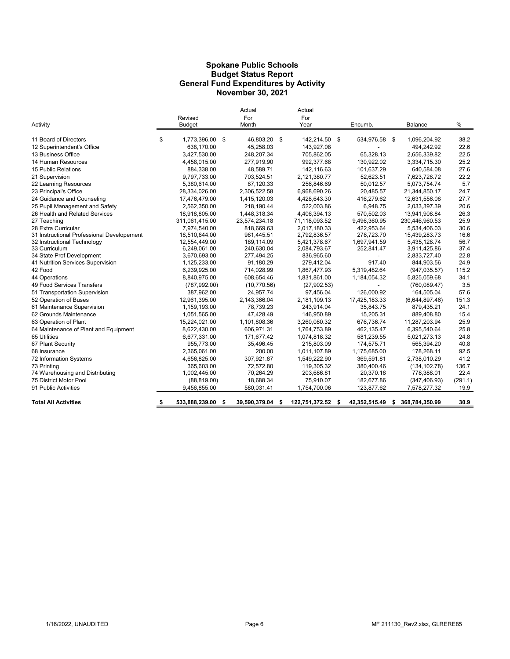#### Spokane Public Schools General Fund Expenditures by Activity November 30, 2021 Budget Status Report

| Activity                                   | Revised<br><b>Budget</b> | Actual<br>For<br>Month |      | Actual<br>For<br>Year |     | Encumb.       | Balance              | %       |
|--------------------------------------------|--------------------------|------------------------|------|-----------------------|-----|---------------|----------------------|---------|
| 11 Board of Directors                      | \$<br>1,773,396.00 \$    | 46,803.20 \$           |      | 142,214.50 \$         |     | 534,976.58    | \$<br>1,096,204.92   | 38.2    |
| 12 Superintendent's Office                 | 638,170.00               | 45,258.03              |      | 143,927.08            |     |               | 494,242.92           | 22.6    |
| 13 Business Office                         | 3,427,530.00             | 248,207.34             |      | 705,862.05            |     | 65,328.13     | 2,656,339.82         | 22.5    |
| 14 Human Resources                         | 4,458,015.00             | 277,919.90             |      | 992.377.68            |     | 130.922.02    | 3,334,715.30         | 25.2    |
| 15 Public Relations                        | 884,338.00               | 48,589.71              |      | 142,116.63            |     | 101,637.29    | 640,584.08           | 27.6    |
| 21 Supervision                             | 9,797,733.00             | 703,524.51             |      | 2,121,380.77          |     | 52,623.51     | 7,623,728.72         | 22.2    |
| 22 Learning Resources                      | 5,380,614.00             | 87,120.33              |      | 256,846.69            |     | 50,012.57     | 5,073,754.74         | 5.7     |
| 23 Principal's Office                      | 28,334,026.00            | 2,306,522.58           |      | 6,968,690.26          |     | 20,485.57     | 21,344,850.17        | 24.7    |
| 24 Guidance and Counseling                 | 17,476,479.00            | 1,415,120.03           |      | 4,428,643.30          |     | 416.279.62    | 12,631,556.08        | 27.7    |
| 25 Pupil Management and Safety             | 2,562,350.00             | 218,190.44             |      | 522,003.86            |     | 6,948.75      | 2,033,397.39         | 20.6    |
| 26 Health and Related Services             | 18,918,805.00            | 1,448,318.34           |      | 4,406,394.13          |     | 570,502.03    | 13,941,908.84        | 26.3    |
| 27 Teaching                                | 311,061,415.00           | 23,574,234.18          |      | 71,118,093.52         |     | 9,496,360.95  | 230,446,960.53       | 25.9    |
| 28 Extra Curricular                        | 7,974,540.00             | 818.669.63             |      | 2,017,180.33          |     | 422.953.64    | 5,534,406.03         | 30.6    |
| 31 Instructional Professional Developement | 18,510,844.00            | 981.445.51             |      | 2,792,836.57          |     | 278.723.70    | 15,439,283.73        | 16.6    |
| 32 Instructional Technology                | 12,554,449.00            | 189,114.09             |      | 5,421,378.67          |     | 1,697,941.59  | 5,435,128.74         | 56.7    |
| 33 Curriculum                              | 6,249,061.00             | 240.630.04             |      | 2,084,793.67          |     | 252,841.47    | 3,911,425.86         | 37.4    |
| 34 State Prof Development                  | 3,670,693.00             | 277,494.25             |      | 836,965.60            |     |               | 2,833,727.40         | 22.8    |
| 41 Nutrition Services Supervision          | 1,125,233.00             | 91.180.29              |      | 279,412.04            |     | 917.40        | 844,903.56           | 24.9    |
| 42 Food                                    | 6,239,925.00             | 714,028.99             |      | 1,867,477.93          |     | 5,319,482.64  | (947, 035.57)        | 115.2   |
| 44 Operations                              | 8,840,975.00             | 608,654.46             |      | 1,831,861.00          |     | 1,184,054.32  | 5,825,059.68         | 34.1    |
| 49 Food Services Transfers                 | (787, 992.00)            | (10,770.56)            |      | (27,902.53)           |     |               | (760, 089.47)        | 3.5     |
| 51 Transportation Supervision              | 387,962.00               | 24.957.74              |      | 97.456.04             |     | 126.000.92    | 164.505.04           | 57.6    |
| 52 Operation of Buses                      | 12,961,395.00            | 2,143,366.04           |      | 2,181,109.13          |     | 17,425,183.33 | (6,644,897.46)       | 151.3   |
| 61 Maintenance Supervision                 | 1,159,193.00             | 78,739.23              |      | 243,914.04            |     | 35,843.75     | 879,435.21           | 24.1    |
| 62 Grounds Maintenance                     | 1,051,565.00             | 47,428.49              |      | 146.950.89            |     | 15,205.31     | 889,408.80           | 15.4    |
| 63 Operation of Plant                      | 15,224,021.00            | 1,101,808.36           |      | 3,260,080.32          |     | 676,736.74    | 11,287,203.94        | 25.9    |
| 64 Maintenance of Plant and Equipment      | 8,622,430.00             | 606,971.31             |      | 1,764,753.89          |     | 462,135.47    | 6,395,540.64         | 25.8    |
| 65 Utilities                               | 6,677,331.00             | 171,677.42             |      | 1,074,818.32          |     | 581,239.55    | 5,021,273.13         | 24.8    |
| 67 Plant Security                          | 955,773.00               | 35,496.45              |      | 215,803.09            |     | 174,575.71    | 565,394.20           | 40.8    |
| 68 Insurance                               | 2,365,061.00             | 200.00                 |      | 1,011,107.89          |     | 1,175,685.00  | 178,268.11           | 92.5    |
| 72 Information Systems                     | 4,656,825.00             | 307,921.87             |      | 1,549,222.90          |     | 369,591.81    | 2,738,010.29         | 41.2    |
| 73 Printing                                | 365.603.00               | 72,572.80              |      | 119,305.32            |     | 380,400.46    | (134, 102.78)        | 136.7   |
| 74 Warehousing and Distributing            | 1,002,445.00             | 70,264.29              |      | 203,686.81            |     | 20,370.18     | 778,388.01           | 22.4    |
| 75 District Motor Pool                     | (88, 819.00)             | 18,688.34              |      | 75,910.07             |     | 182,677.86    | (347, 406.93)        | (291.1) |
| 91 Public Activities                       | 9,456,855.00             | 580,031.41             |      | 1,754,700.06          |     | 123,877.62    | 7,578,277.32         | 19.9    |
| <b>Total All Activities</b>                | \$<br>533,888,239.00     | \$<br>39,590,379.04    | - \$ | 122,751,372.52        | - 5 | 42,352,515.49 | \$<br>368,784,350.99 | 30.9    |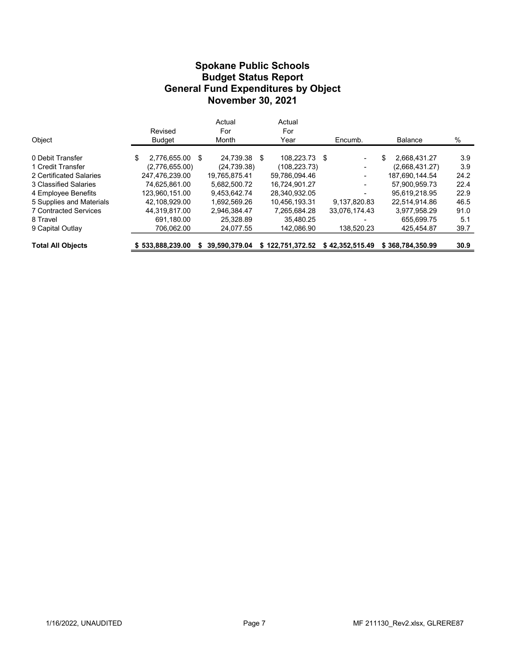#### Budget Status Report General Fund Expenditures by Object Spokane Public Schools November 30, 2021

|                              |                       | Actual        |   | Actual           |                 |                    |      |  |
|------------------------------|-----------------------|---------------|---|------------------|-----------------|--------------------|------|--|
|                              | Revised               | For           |   | For              |                 |                    |      |  |
| Object                       | <b>Budget</b>         | Month         |   | Year             | Encumb.         | <b>Balance</b>     | %    |  |
| 0 Debit Transfer             | \$<br>2,776,655.00 \$ | 24.739.38     | S | 108.223.73 \$    | $\blacksquare$  | \$<br>2.668.431.27 | 3.9  |  |
| 1 Credit Transfer            | (2,776,655.00)        | (24, 739.38)  |   | (108, 223, 73)   | -               | (2,668,431.27)     | 3.9  |  |
| 2 Certificated Salaries      | 247.476.239.00        | 19.765.875.41 |   | 59.786.094.46    | -               | 187.690.144.54     | 24.2 |  |
| 3 Classified Salaries        | 74,625,861.00         | 5.682.500.72  |   | 16.724.901.27    | ٠               | 57.900.959.73      | 22.4 |  |
| 4 Employee Benefits          | 123.960.151.00        | 9.453.642.74  |   | 28,340,932.05    |                 | 95.619.218.95      | 22.9 |  |
| 5 Supplies and Materials     | 42.108.929.00         | 1.692.569.26  |   | 10.456.193.31    | 9.137.820.83    | 22.514.914.86      | 46.5 |  |
| <b>7 Contracted Services</b> | 44.319.817.00         | 2.946.384.47  |   | 7.265.684.28     | 33.076.174.43   | 3.977.958.29       | 91.0 |  |
| 8 Travel                     | 691.180.00            | 25.328.89     |   | 35.480.25        | -               | 655.699.75         | 5.1  |  |
| 9 Capital Outlay             | 706,062.00            | 24,077.55     |   | 142,086.90       | 138,520.23      | 425,454.87         | 39.7 |  |
| <b>Total All Objects</b>     | \$533,888,239.00      | 39.590.379.04 |   | \$122,751,372.52 | \$42,352,515.49 | \$368.784.350.99   | 30.9 |  |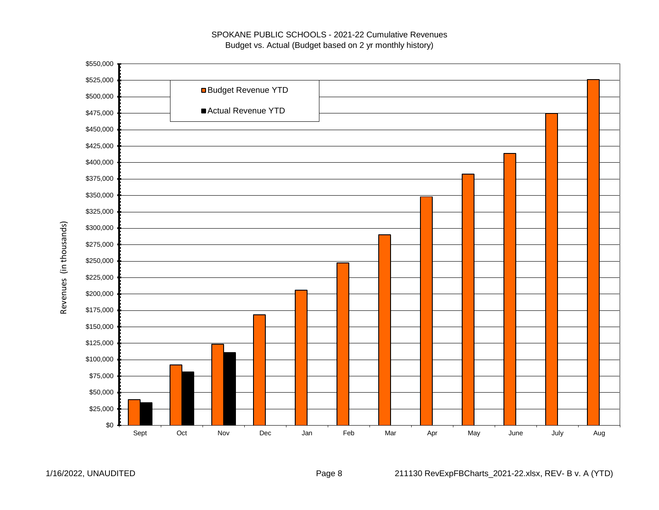#### SPOKANE PUBLIC SCHOOLS - 2021-22 Cumulative Revenues Budget vs. Actual (Budget based on 2 yr monthly history)



Revenues (in thousands) Revenues (in thousands)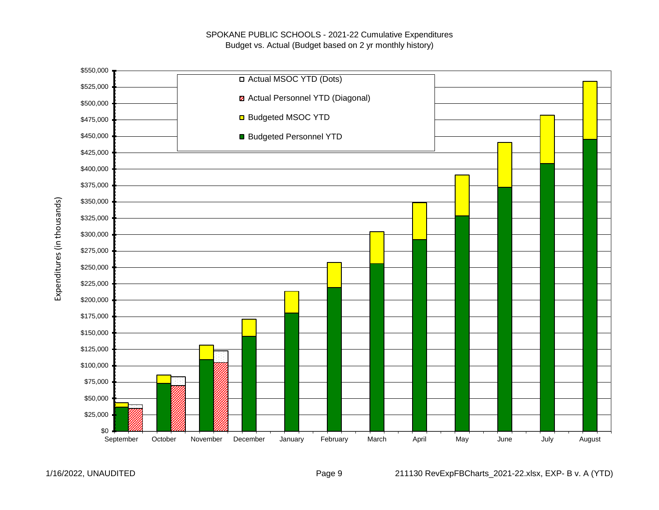

Expenditures (in thousands) Expenditures (in thousands)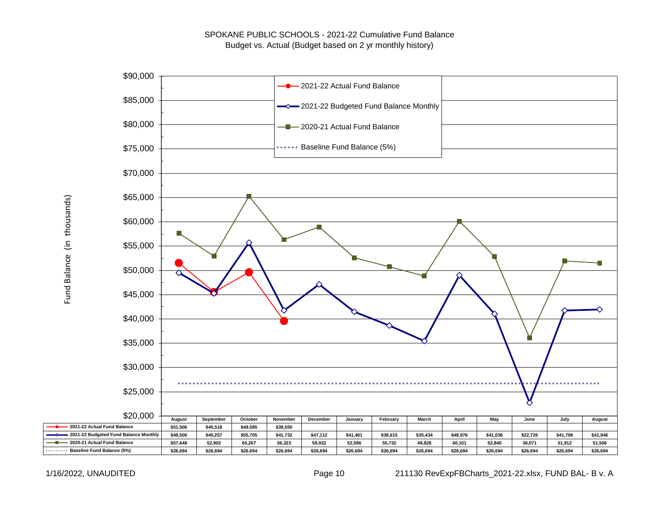

Fund Balance (in thousands) Fund Balance (in thousands)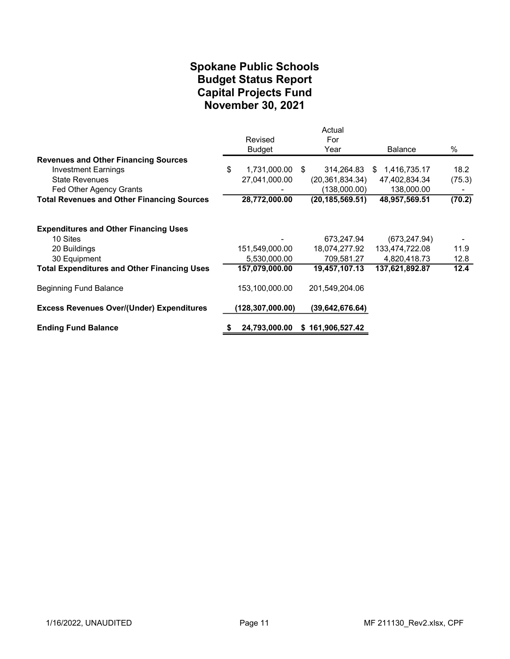## November 30, 2021 Spokane Public Schools Capital Projects Fund Budget Status Report

|                                                    | Revised<br><b>Budget</b> |     | Actual<br>For<br>Year | <b>Balance</b> | %      |
|----------------------------------------------------|--------------------------|-----|-----------------------|----------------|--------|
| <b>Revenues and Other Financing Sources</b>        |                          |     |                       |                |        |
| <b>Investment Earnings</b>                         | \$<br>1,731,000.00       | -\$ | 314,264.83            | \$1,416,735.17 | 18.2   |
| <b>State Revenues</b>                              | 27,041,000.00            |     | (20, 361, 834.34)     | 47,402,834.34  | (75.3) |
| Fed Other Agency Grants                            |                          |     | (138,000.00)          | 138,000.00     |        |
| <b>Total Revenues and Other Financing Sources</b>  | 28,772,000.00            |     | (20, 185, 569.51)     | 48,957,569.51  | (70.2) |
| <b>Expenditures and Other Financing Uses</b>       |                          |     |                       |                |        |
| 10 Sites                                           |                          |     | 673,247.94            | (673, 247.94)  |        |
| 20 Buildings                                       | 151,549,000.00           |     | 18,074,277.92         | 133,474,722.08 | 11.9   |
| 30 Equipment                                       | 5,530,000.00             |     | 709,581.27            | 4,820,418.73   | 12.8   |
| <b>Total Expenditures and Other Financing Uses</b> | 157,079,000.00           |     | 19,457,107.13         | 137,621,892.87 | 12.4   |
| <b>Beginning Fund Balance</b>                      | 153,100,000.00           |     | 201,549,204.06        |                |        |
| <b>Excess Revenues Over/(Under) Expenditures</b>   | (128,307,000.00)         |     | (39, 642, 676.64)     |                |        |
| <b>Ending Fund Balance</b>                         | 24,793,000.00            |     | \$161,906,527.42      |                |        |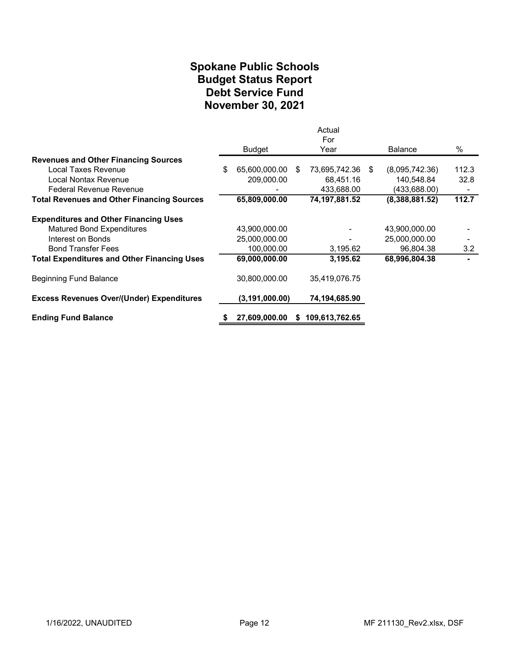## Spokane Public Schools Debt Service Fund November 30, 2021 Budget Status Report

|                                                    |                     |    | Actual<br>For    |                |         |
|----------------------------------------------------|---------------------|----|------------------|----------------|---------|
|                                                    | Budget              |    | Year             | <b>Balance</b> | $\%$    |
| <b>Revenues and Other Financing Sources</b>        |                     |    |                  |                |         |
| Local Taxes Revenue                                | \$<br>65,600,000.00 | S. | 73,695,742.36 \$ | (8,095,742.36) | 112.3   |
| Local Nontax Revenue                               | 209,000.00          |    | 68,451.16        | 140,548.84     | 32.8    |
| <b>Federal Revenue Revenue</b>                     |                     |    | 433,688.00       | (433,688.00)   |         |
| <b>Total Revenues and Other Financing Sources</b>  | 65,809,000.00       |    | 74,197,881.52    | (8,388,881.52) | 112.7   |
| <b>Expenditures and Other Financing Uses</b>       |                     |    |                  |                |         |
| <b>Matured Bond Expenditures</b>                   | 43,900,000.00       |    |                  | 43,900,000.00  |         |
| Interest on Bonds                                  | 25,000,000.00       |    |                  | 25,000,000.00  |         |
| <b>Bond Transfer Fees</b>                          | 100,000.00          |    | 3,195.62         | 96,804.38      | $3.2\,$ |
| <b>Total Expenditures and Other Financing Uses</b> | 69,000,000.00       |    | 3,195.62         | 68,996,804.38  |         |
| Beginning Fund Balance                             | 30,800,000.00       |    | 35,419,076.75    |                |         |
| <b>Excess Revenues Over/(Under) Expenditures</b>   | (3, 191, 000.00)    |    | 74,194,685.90    |                |         |
| <b>Ending Fund Balance</b>                         | 27,609,000.00       | S. | 109,613,762.65   |                |         |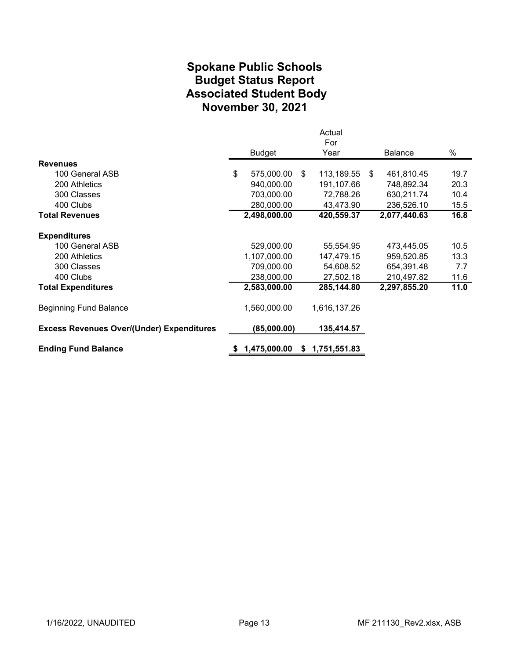# Spokane Public Schools Associated Student Body November 30, 2021 Budget Status Report

|                                                  |                  |    | Actual       |                  |      |
|--------------------------------------------------|------------------|----|--------------|------------------|------|
|                                                  |                  |    | For          |                  |      |
|                                                  | <b>Budget</b>    |    | Year         | Balance          | %    |
| <b>Revenues</b>                                  |                  |    |              |                  |      |
| 100 General ASB                                  | \$<br>575,000.00 | \$ | 113,189.55   | \$<br>461,810.45 | 19.7 |
| 200 Athletics                                    | 940,000.00       |    | 191,107.66   | 748,892.34       | 20.3 |
| 300 Classes                                      | 703,000.00       |    | 72,788.26    | 630,211.74       | 10.4 |
| 400 Clubs                                        | 280,000.00       |    | 43,473.90    | 236,526.10       | 15.5 |
| <b>Total Revenues</b>                            | 2,498,000.00     |    | 420,559.37   | 2,077,440.63     | 16.8 |
| <b>Expenditures</b>                              |                  |    |              |                  |      |
| 100 General ASB                                  | 529,000.00       |    | 55,554.95    | 473,445.05       | 10.5 |
| 200 Athletics                                    | 1,107,000.00     |    | 147,479.15   | 959,520.85       | 13.3 |
| 300 Classes                                      | 709,000.00       |    | 54,608.52    | 654,391.48       | 7.7  |
| 400 Clubs                                        | 238,000.00       |    | 27,502.18    | 210,497.82       | 11.6 |
| <b>Total Expenditures</b>                        | 2,583,000.00     |    | 285,144.80   | 2,297,855.20     | 11.0 |
| <b>Beginning Fund Balance</b>                    | 1,560,000.00     |    | 1,616,137.26 |                  |      |
| <b>Excess Revenues Over/(Under) Expenditures</b> | (85,000.00)      |    | 135,414.57   |                  |      |
| <b>Ending Fund Balance</b>                       | 1,475,000.00     | S. | 1,751,551.83 |                  |      |